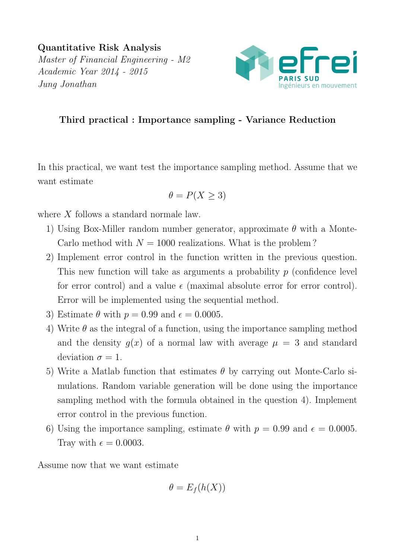Quantitative Risk Analysis Master of Financial Engineering - M2 Academic Year 2014 - 2015 Jung Jonathan



## Third practical : Importance sampling - Variance Reduction

In this practical, we want test the importance sampling method. Assume that we want estimate

$$
\theta = P(X \ge 3)
$$

where  $X$  follows a standard normale law.

- 1) Using Box-Miller random number generator, approximate  $\theta$  with a Monte-Carlo method with  $N = 1000$  realizations. What is the problem?
- 2) Implement error control in the function written in the previous question. This new function will take as arguments a probability  $p$  (confidence level for error control) and a value  $\epsilon$  (maximal absolute error for error control). Error will be implemented using the sequential method.
- 3) Estimate  $\theta$  with  $p = 0.99$  and  $\epsilon = 0.0005$ .
- 4) Write  $\theta$  as the integral of a function, using the importance sampling method and the density  $g(x)$  of a normal law with average  $\mu = 3$  and standard deviation  $\sigma = 1$ .
- 5) Write a Matlab function that estimates  $\theta$  by carrying out Monte-Carlo simulations. Random variable generation will be done using the importance sampling method with the formula obtained in the question 4). Implement error control in the previous function.
- 6) Using the importance sampling, estimate  $\theta$  with  $p = 0.99$  and  $\epsilon = 0.0005$ . Tray with  $\epsilon = 0.0003$ .

Assume now that we want estimate

$$
\theta = E_f(h(X))
$$